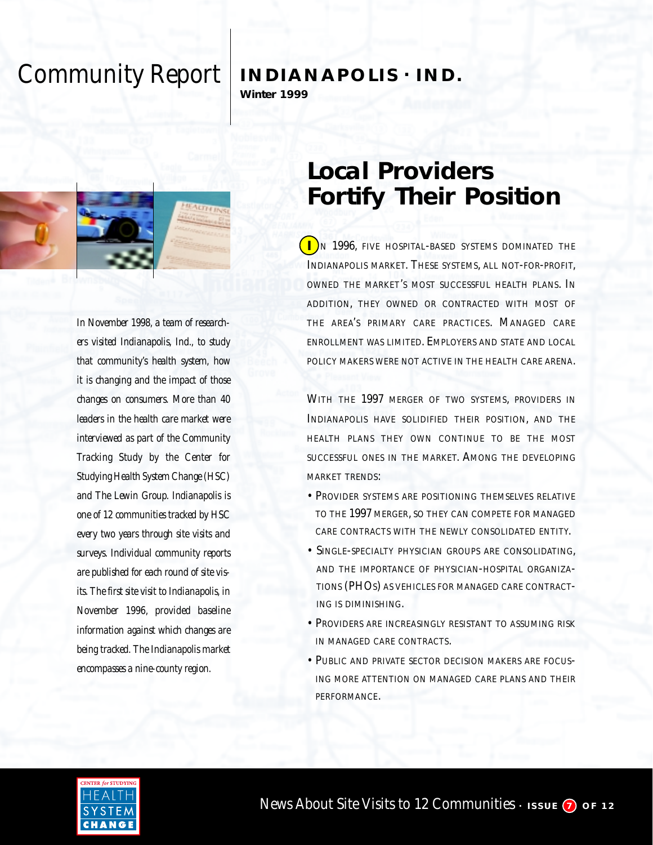# Community Report

## **INDIANAPOLIS . IND.**

**Winter 1999**



*In November 1998, a team of researchers visited Indianapolis, Ind., to study that community's health system, how it is changing and the impact of those changes on consumers. More than 40 leaders in the health care market were interviewed as part of the Community Tracking Study by the Center for Studying Health System Change (HSC) and The Lewin Group. Indianapolis is one of 12 communities tracked by HSC every two years through site visits and surveys. Individual community reports are published for each round of site visits. The first site visit to Indianapolis, in November 1996, provided baseline information against which changes are being tracked. The Indianapolis market encompasses a nine-county region.*

# **Local Providers Fortify Their Position**

I N 1996, FIVE HOSPITAL-BASED SYSTEMS DOMINATED THE INDIANAPOLIS MARKET. THESE SYSTEMS, ALL NOT-FOR-PROFIT, OWNED THE MARKET'S MOST SUCCESSFUL HEALTH PLANS. IN ADDITION, THEY OWNED OR CONTRACTED WITH MOST OF THE AREA'S PRIMARY CARE PRACTICES. MANAGED CARE ENROLLMENT WAS LIMITED. EMPLOYERS AND STATE AND LOCAL POLICY MAKERS WERE NOT ACTIVE IN THE HEALTH CARE ARENA.

WITH THE 1997 MERGER OF TWO SYSTEMS, PROVIDERS IN INDIANAPOLIS HAVE SOLIDIFIED THEIR POSITION, AND THE HEALTH PLANS THEY OWN CONTINUE TO BE THE MOST SUCCESSFUL ONES IN THE MARKET. AMONG THE DEVELOPING MARKET TRENDS:

- PROVIDER SYSTEMS ARE POSITIONING THEMSELVES RELATIVE TO THE 1997 MERGER, SO THEY CAN COMPETE FOR MANAGED CARE CONTRACTS WITH THE NEWLY CONSOLIDATED ENTITY.
- SINGLE-SPECIALTY PHYSICIAN GROUPS ARE CONSOLIDATING, AND THE IMPORTANCE OF PHYSICIAN-HOSPITAL ORGANIZA-TIONS (PHOS) AS VEHICLES FOR MANAGED CARE CONTRACT-ING IS DIMINISHING.
- PROVIDERS ARE INCREASINGLY RESISTANT TO ASSUMING RISK IN MANAGED CARE CONTRACTS.
- PUBLIC AND PRIVATE SECTOR DECISION MAKERS ARE FOCUS-ING MORE ATTENTION ON MANAGED CARE PLANS AND THEIR PERFORMANCE.

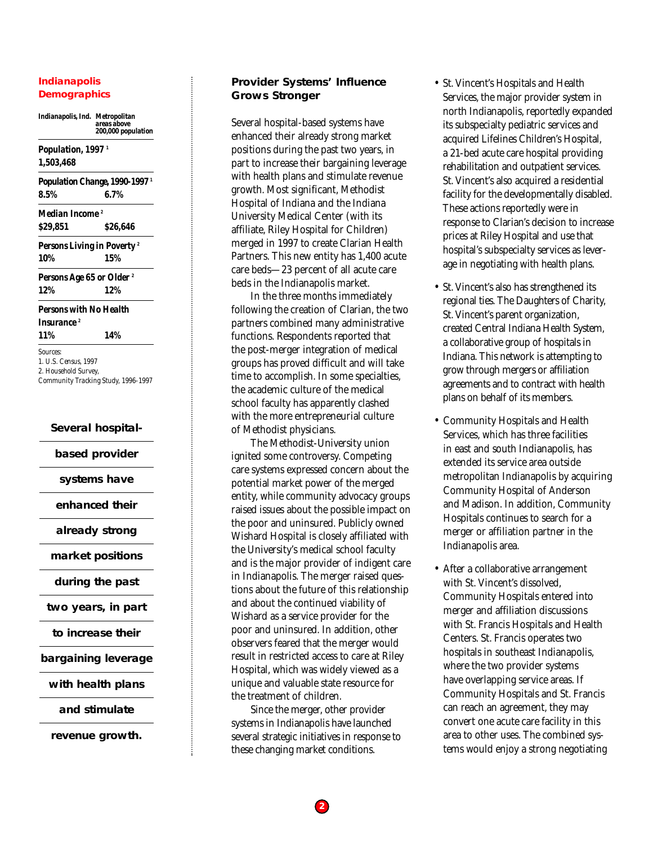#### **Indianapolis Demographics**

*Indianapolis, Ind. Metropolitan areas above 200,000 population*

*Population, 1997 1 1,503,468*

*Population Change, 1990-1997 1 8.5% 6.7%*

*Median Income 2 \$29,851 \$26,646*

*Persons Living in Poverty 2 10% 15%*

*Persons Age 65 or Older 2 12% 12%*

*Persons with No Health Insurance 2*

*11% 14%*

*Sources: 1. U.S. Census, 1997 2. Household Survey, Community Tracking Study, 1996-1997*

### **Several hospital-**

#### **based provider**

#### **systems have**

**enhanced their** 

**already strong** 

**market positions** 

**during the past** 

**two years, in part** 

**to increase their** 

#### **bargaining leverage**

#### **with health plans**

## **and stimulate**

#### **revenue growth.**

## **Provider Systems' Influence Grows Stronger**

Several hospital-based systems have enhanced their already strong market positions during the past two years, in part to increase their bargaining leverage with health plans and stimulate revenue growth. Most significant, Methodist Hospital of Indiana and the Indiana University Medical Center (with its affiliate, Riley Hospital for Children) merged in 1997 to create Clarian Health Partners. This new entity has 1,400 acute care beds—23 percent of all acute care beds in the Indianapolis market.

In the three months immediately following the creation of Clarian, the two partners combined many administrative functions. Respondents reported that the post-merger integration of medical groups has proved difficult and will take time to accomplish. In some specialties, the academic culture of the medical school faculty has apparently clashed with the more entrepreneurial culture of Methodist physicians.

The Methodist-University union ignited some controversy. Competing care systems expressed concern about the potential market power of the merged entity, while community advocacy groups raised issues about the possible impact on the poor and uninsured. Publicly owned Wishard Hospital is closely affiliated with the University's medical school faculty and is the major provider of indigent care in Indianapolis. The merger raised questions about the future of this relationship and about the continued viability of Wishard as a service provider for the poor and uninsured. In addition, other observers feared that the merger would result in restricted access to care at Riley Hospital, which was widely viewed as a unique and valuable state resource for the treatment of children.

Since the merger, other provider systems in Indianapolis have launched several strategic initiatives in response to these changing market conditions.

- St. Vincent's Hospitals and Health Services, the major provider system in north Indianapolis, reportedly expanded its subspecialty pediatric services and acquired Lifelines Children's Hospital, a 21-bed acute care hospital providing rehabilitation and outpatient services. St. Vincent's also acquired a residential facility for the developmentally disabled. These actions reportedly were in response to Clarian's decision to increase prices at Riley Hospital and use that hospital's subspecialty services as leverage in negotiating with health plans.
- St. Vincent's also has strengthened its regional ties. The Daughters of Charity, St. Vincent's parent organization, created Central Indiana Health System, a collaborative group of hospitals in Indiana. This network is attempting to grow through mergers or affiliation agreements and to contract with health plans on behalf of its members.
- Community Hospitals and Health Services, which has three facilities in east and south Indianapolis, has extended its service area outside metropolitan Indianapolis by acquiring Community Hospital of Anderson and Madison. In addition, Community Hospitals continues to search for a merger or affiliation partner in the Indianapolis area.
- After a collaborative arrangement with St. Vincent's dissolved, Community Hospitals entered into merger and affiliation discussions with St. Francis Hospitals and Health Centers. St. Francis operates two hospitals in southeast Indianapolis, where the two provider systems have overlapping service areas. If Community Hospitals and St. Francis can reach an agreement, they may convert one acute care facility in this area to other uses. The combined systems would enjoy a strong negotiating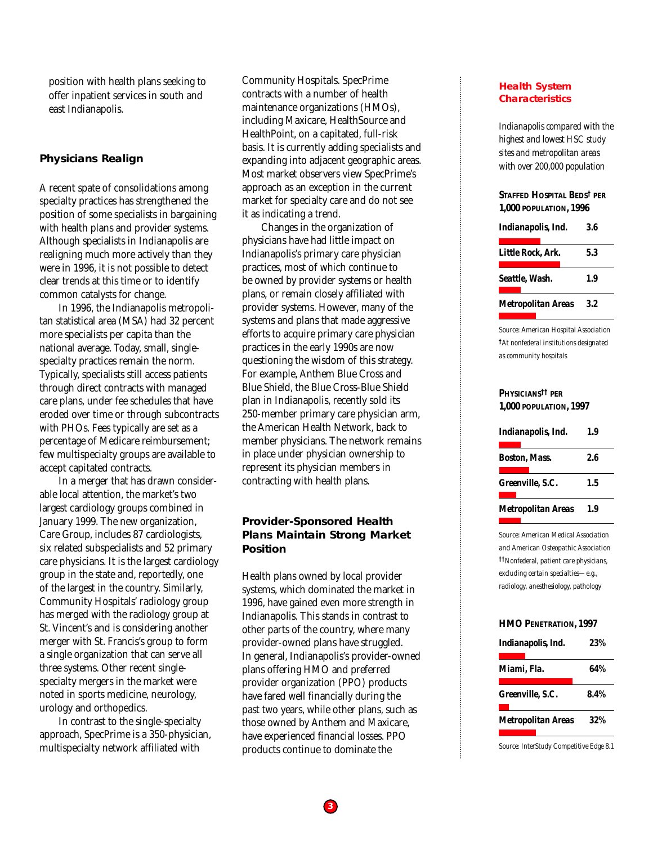position with health plans seeking to offer inpatient services in south and east Indianapolis.

### **Physicians Realign**

A recent spate of consolidations among specialty practices has strengthened the position of some specialists in bargaining with health plans and provider systems. Although specialists in Indianapolis are realigning much more actively than they were in 1996, it is not possible to detect clear trends at this time or to identify common catalysts for change.

In 1996, the Indianapolis metropolitan statistical area (MSA) had 32 percent more specialists per capita than the national average. Today, small, singlespecialty practices remain the norm. Typically, specialists still access patients through direct contracts with managed care plans, under fee schedules that have eroded over time or through subcontracts with PHOs. Fees typically are set as a percentage of Medicare reimbursement; few multispecialty groups are available to accept capitated contracts.

In a merger that has drawn considerable local attention, the market's two largest cardiology groups combined in January 1999. The new organization, Care Group, includes 87 cardiologists, six related subspecialists and 52 primary care physicians. It is the largest cardiology group in the state and, reportedly, one of the largest in the country. Similarly, Community Hospitals' radiology group has merged with the radiology group at St. Vincent's and is considering another merger with St. Francis's group to form a single organization that can serve all three systems. Other recent singlespecialty mergers in the market were noted in sports medicine, neurology, urology and orthopedics.

In contrast to the single-specialty approach, SpecPrime is a 350-physician, multispecialty network affiliated with

Community Hospitals. SpecPrime contracts with a number of health maintenance organizations (HMOs), including Maxicare, HealthSource and HealthPoint, on a capitated, full-risk basis. It is currently adding specialists and expanding into adjacent geographic areas. Most market observers view SpecPrime's approach as an exception in the current market for specialty care and do not see it as indicating a trend.

Changes in the organization of physicians have had little impact on Indianapolis's primary care physician practices, most of which continue to be owned by provider systems or health plans, or remain closely affiliated with provider systems. However, many of the systems and plans that made aggressive efforts to acquire primary care physician practices in the early 1990s are now questioning the wisdom of this strategy. For example, Anthem Blue Cross and Blue Shield, the Blue Cross-Blue Shield plan in Indianapolis, recently sold its 250-member primary care physician arm, the American Health Network, back to member physicians. The network remains in place under physician ownership to represent its physician members in contracting with health plans.

## **Provider-Sponsored Health Plans Maintain Strong Market Position**

Health plans owned by local provider systems, which dominated the market in 1996, have gained even more strength in Indianapolis. This stands in contrast to other parts of the country, where many provider-owned plans have struggled. In general, Indianapolis's provider-owned plans offering HMO and preferred provider organization (PPO) products have fared well financially during the past two years, while other plans, such as those owned by Anthem and Maxicare, have experienced financial losses. PPO products continue to dominate the

### **Health System Characteristics**

*Indianapolis compared with the highest and lowest HSC study sites and metropolitan areas with over 200,000 population*

## **STAFFED HOSPITAL BEDS† PER 1,000 POPULATION, 1996**

| Indianapolis, Ind.        | 3.6     |
|---------------------------|---------|
| Little Rock. Ark.         | 5.3     |
| Seattle. Wash.            | 1.9     |
| <b>Metropolitan Areas</b> | $3.2\,$ |

*Source: American Hospital Association* **†***At nonfederal institutions designated as community hospitals*

## **PHYSICIANS†† PER 1,000 POPULATION, 1997**

| Indianapolis, Ind.            | 1.9 |
|-------------------------------|-----|
| <b>Boston. Mass.</b>          | 2.6 |
| Greenville, S.C.              | 1.5 |
| <b>Metropolitan Areas</b> 1.9 |     |

*Source: American Medical Association and American Osteopathic Association* **††***Nonfederal, patient care physicians, excluding certain specialties—e.g., radiology, anesthesiology, pathology* 

#### **HMO PENETRATION, 1997**

| Indianapolis, Ind.        | 23%  |
|---------------------------|------|
| Miami, Fla.               | 64%  |
| Greenville, S.C.          | 8.4% |
| <b>Metropolitan Areas</b> | 32%  |

*Source: InterStudy Competitive Edge 8.1*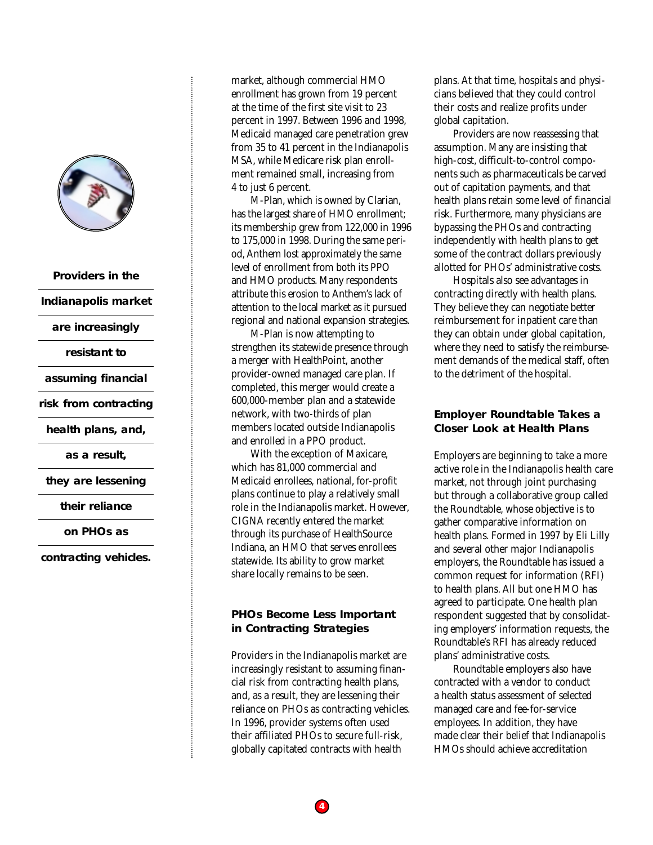

#### **Providers in the**

**Indianapolis market** 

#### **are increasingly**

#### **resistant to**

#### **assuming financial**

#### **risk from contracting**

**health plans, and,** 

#### **as a result,**

**they are lessening** 

#### **their reliance**

#### **on PHOs as**

**contracting vehicles.**

market, although commercial HMO enrollment has grown from 19 percent at the time of the first site visit to 23 percent in 1997. Between 1996 and 1998, Medicaid managed care penetration grew from 35 to 41 percent in the Indianapolis MSA, while Medicare risk plan enrollment remained small, increasing from 4 to just 6 percent.

M-Plan, which is owned by Clarian, has the largest share of HMO enrollment; its membership grew from 122,000 in 1996 to 175,000 in 1998. During the same period, Anthem lost approximately the same level of enrollment from both its PPO and HMO products. Many respondents attribute this erosion to Anthem's lack of attention to the local market as it pursued regional and national expansion strategies.

M-Plan is now attempting to strengthen its statewide presence through a merger with HealthPoint, another provider-owned managed care plan. If completed, this merger would create a 600,000-member plan and a statewide network, with two-thirds of plan members located outside Indianapolis and enrolled in a PPO product.

With the exception of Maxicare, which has 81,000 commercial and Medicaid enrollees, national, for-profit plans continue to play a relatively small role in the Indianapolis market. However, CIGNA recently entered the market through its purchase of HealthSource Indiana, an HMO that serves enrollees statewide. Its ability to grow market share locally remains to be seen.

## **PHOs Become Less Important in Contracting Strategies**

Providers in the Indianapolis market are increasingly resistant to assuming financial risk from contracting health plans, and, as a result, they are lessening their reliance on PHOs as contracting vehicles. In 1996, provider systems often used their affiliated PHOs to secure full-risk, globally capitated contracts with health

plans. At that time, hospitals and physicians believed that they could control their costs and realize profits under global capitation.

Providers are now reassessing that assumption. Many are insisting that high-cost, difficult-to-control components such as pharmaceuticals be carved out of capitation payments, and that health plans retain some level of financial risk. Furthermore, many physicians are bypassing the PHOs and contracting independently with health plans to get some of the contract dollars previously allotted for PHOs' administrative costs.

Hospitals also see advantages in contracting directly with health plans. They believe they can negotiate better reimbursement for inpatient care than they can obtain under global capitation, where they need to satisfy the reimbursement demands of the medical staff, often to the detriment of the hospital.

## **Employer Roundtable Takes a Closer Look at Health Plans**

Employers are beginning to take a more active role in the Indianapolis health care market, not through joint purchasing but through a collaborative group called the Roundtable, whose objective is to gather comparative information on health plans. Formed in 1997 by Eli Lilly and several other major Indianapolis employers, the Roundtable has issued a common request for information (RFI) to health plans. All but one HMO has agreed to participate. One health plan respondent suggested that by consolidating employers' information requests, the Roundtable's RFI has already reduced plans' administrative costs.

Roundtable employers also have contracted with a vendor to conduct a health status assessment of selected managed care and fee-for-service employees. In addition, they have made clear their belief that Indianapolis HMOs should achieve accreditation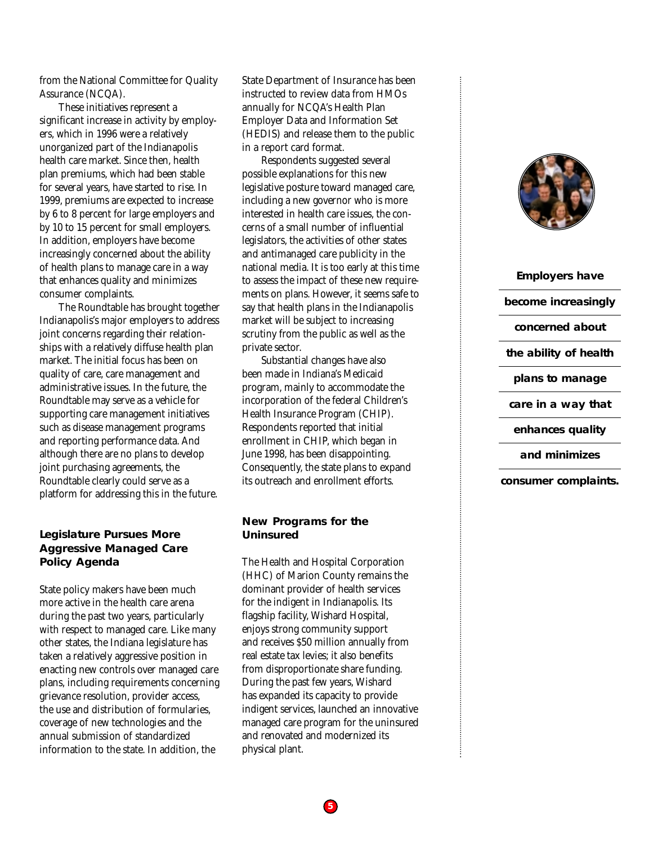from the National Committee for Quality Assurance (NCQA).

These initiatives represent a significant increase in activity by employers, which in 1996 were a relatively unorganized part of the Indianapolis health care market. Since then, health plan premiums, which had been stable for several years, have started to rise. In 1999, premiums are expected to increase by 6 to 8 percent for large employers and by 10 to 15 percent for small employers. In addition, employers have become increasingly concerned about the ability of health plans to manage care in a way that enhances quality and minimizes consumer complaints.

The Roundtable has brought together Indianapolis's major employers to address joint concerns regarding their relationships with a relatively diffuse health plan market. The initial focus has been on quality of care, care management and administrative issues. In the future, the Roundtable may serve as a vehicle for supporting care management initiatives such as disease management programs and reporting performance data. And although there are no plans to develop joint purchasing agreements, the Roundtable clearly could serve as a platform for addressing this in the future.

## **Legislature Pursues More Aggressive Managed Care Policy Agenda**

State policy makers have been much more active in the health care arena during the past two years, particularly with respect to managed care. Like many other states, the Indiana legislature has taken a relatively aggressive position in enacting new controls over managed care plans, including requirements concerning grievance resolution, provider access, the use and distribution of formularies, coverage of new technologies and the annual submission of standardized information to the state. In addition, the

State Department of Insurance has been instructed to review data from HMOs annually for NCQA's Health Plan Employer Data and Information Set (HEDIS) and release them to the public in a report card format.

Respondents suggested several possible explanations for this new legislative posture toward managed care, including a new governor who is more interested in health care issues, the concerns of a small number of influential legislators, the activities of other states and antimanaged care publicity in the national media. It is too early at this time to assess the impact of these new requirements on plans. However, it seems safe to say that health plans in the Indianapolis market will be subject to increasing scrutiny from the public as well as the private sector.

Substantial changes have also been made in Indiana's Medicaid program, mainly to accommodate the incorporation of the federal Children's Health Insurance Program (CHIP). Respondents reported that initial enrollment in CHIP, which began in June 1998, has been disappointing. Consequently, the state plans to expand its outreach and enrollment efforts.

## **New Programs for the Uninsured**

The Health and Hospital Corporation (HHC) of Marion County remains the dominant provider of health services for the indigent in Indianapolis. Its flagship facility, Wishard Hospital, enjoys strong community support and receives \$50 million annually from real estate tax levies; it also benefits from disproportionate share funding. During the past few years, Wishard has expanded its capacity to provide indigent services, launched an innovative managed care program for the uninsured and renovated and modernized its physical plant.



**Employers have become increasingly** 

**concerned about** 

**the ability of health** 

**plans to manage** 

**care in a way that** 

**enhances quality** 

**and minimizes** 

**consumer complaints.**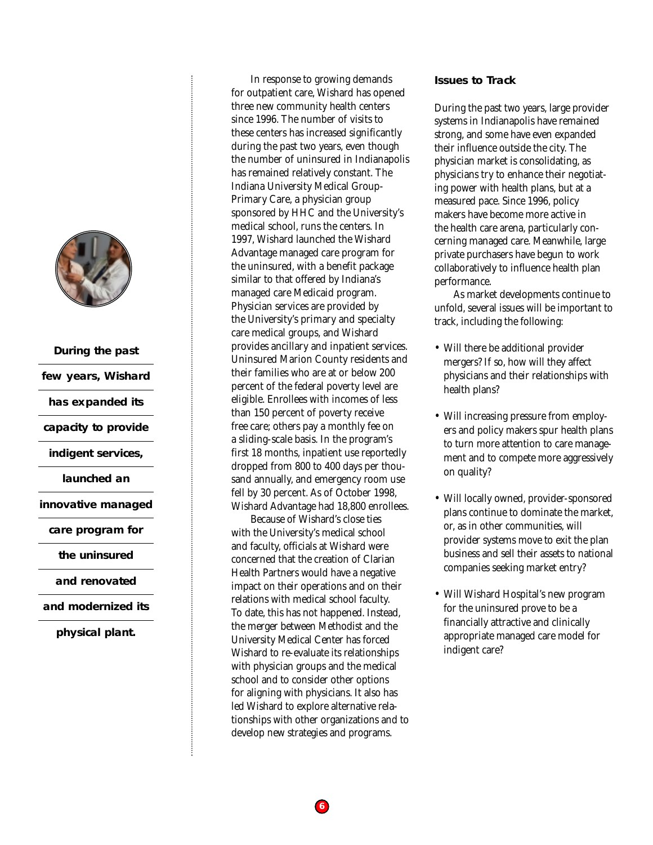

## **During the past**

**few years, Wishard** 

**has expanded its** 

#### **capacity to provide**

#### **indigent services,**

**launched an** 

**innovative managed** 

**care program for** 

## **the uninsured**

**and renovated** 

## **and modernized its**

## **physical plant.**

In response to growing demands for outpatient care, Wishard has opened three new community health centers since 1996. The number of visits to these centers has increased significantly during the past two years, even though the number of uninsured in Indianapolis has remained relatively constant. The Indiana University Medical Group-Primary Care, a physician group sponsored by HHC and the University's medical school, runs the centers. In 1997, Wishard launched the Wishard Advantage managed care program for the uninsured, with a benefit package similar to that offered by Indiana's managed care Medicaid program. Physician services are provided by the University's primary and specialty care medical groups, and Wishard provides ancillary and inpatient services. Uninsured Marion County residents and their families who are at or below 200 percent of the federal poverty level are eligible. Enrollees with incomes of less than 150 percent of poverty receive free care; others pay a monthly fee on a sliding-scale basis. In the program's first 18 months, inpatient use reportedly dropped from 800 to 400 days per thousand annually, and emergency room use fell by 30 percent. As of October 1998, Wishard Advantage had 18,800 enrollees.

Because of Wishard's close ties with the University's medical school and faculty, officials at Wishard were concerned that the creation of Clarian Health Partners would have a negative impact on their operations and on their relations with medical school faculty. To date, this has not happened. Instead, the merger between Methodist and the University Medical Center has forced Wishard to re-evaluate its relationships with physician groups and the medical school and to consider other options for aligning with physicians. It also has led Wishard to explore alternative relationships with other organizations and to develop new strategies and programs.

## **Issues to Track**

During the past two years, large provider systems in Indianapolis have remained strong, and some have even expanded their influence outside the city. The physician market is consolidating, as physicians try to enhance their negotiating power with health plans, but at a measured pace. Since 1996, policy makers have become more active in the health care arena, particularly concerning managed care. Meanwhile, large private purchasers have begun to work collaboratively to influence health plan performance.

As market developments continue to unfold, several issues will be important to track, including the following:

- Will there be additional provider mergers? If so, how will they affect physicians and their relationships with health plans?
- Will increasing pressure from employers and policy makers spur health plans to turn more attention to care management and to compete more aggressively on quality?
- Will locally owned, provider-sponsored plans continue to dominate the market, or, as in other communities, will provider systems move to exit the plan business and sell their assets to national companies seeking market entry?
- Will Wishard Hospital's new program for the uninsured prove to be a financially attractive and clinically appropriate managed care model for indigent care?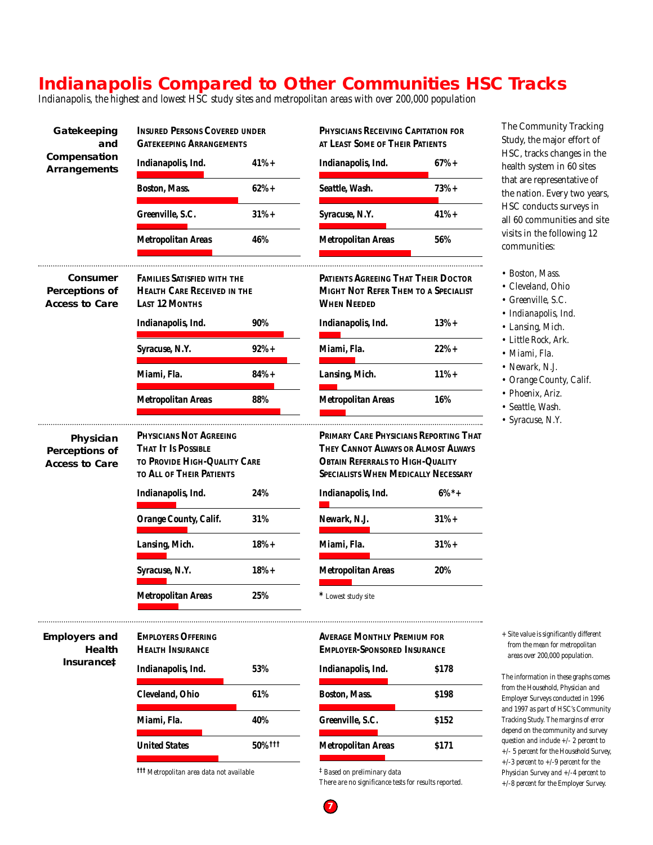## **Indianapolis Compared to Other Communities HSC Tracks**

*Indianapolis, the highest and lowest HSC study sites and metropolitan areas with over 200,000 population*

| Gatekeeping<br>and                                         | <b>INSURED PERSONS COVERED UNDER</b><br><b>GATEKEEPING ARRANGEMENTS</b>                           |                                                                                                            | PHYSICIANS RECEIVING CAPITATION FOR<br>AT LEAST SOME OF THEIR PATIENTS                            |                                                                                                                                                                  | The Community<br>Study, the major                                        |                    |
|------------------------------------------------------------|---------------------------------------------------------------------------------------------------|------------------------------------------------------------------------------------------------------------|---------------------------------------------------------------------------------------------------|------------------------------------------------------------------------------------------------------------------------------------------------------------------|--------------------------------------------------------------------------|--------------------|
| Compensation<br><b>Arrangements</b>                        | Indianapolis, Ind.                                                                                | $41% +$                                                                                                    | Indianapolis, Ind.                                                                                | $67%+$                                                                                                                                                           | HSC, tracks char<br>health system in                                     |                    |
|                                                            | <b>Boston, Mass.</b>                                                                              | $62% +$                                                                                                    | Seattle, Wash.                                                                                    | $73% +$                                                                                                                                                          | that are represen<br>the nation. Every                                   |                    |
|                                                            | Greenville, S.C.                                                                                  | $31% +$                                                                                                    | Syracuse, N.Y.                                                                                    | $41% +$                                                                                                                                                          | HSC conducts su<br>all 60 communit                                       |                    |
|                                                            | <b>Metropolitan Areas</b>                                                                         | 46%                                                                                                        | <b>Metropolitan Areas</b>                                                                         | 56%                                                                                                                                                              | visits in the follo<br>communities:                                      |                    |
| <b>Consumer</b><br>Perceptions of<br><b>Access to Care</b> | <b>FAMILIES SATISFIED WITH THE</b><br><b>HEALTH CARE RECEIVED IN THE</b><br><b>LAST 12 MONTHS</b> |                                                                                                            | PATIENTS AGREEING THAT THEIR DOCTOR<br>MIGHT NOT REFER THEM TO A SPECIALIST<br><b>WHEN NEEDED</b> |                                                                                                                                                                  | • Boston, Mass.<br>• Cleveland, Ohi<br>• Greenville, S.C.                |                    |
|                                                            | Indianapolis, Ind.                                                                                | 90%                                                                                                        | Indianapolis, Ind.                                                                                | $13% +$                                                                                                                                                          | • Indianapolis, In<br>• Lansing, Mich.                                   |                    |
|                                                            | Syracuse, N.Y.                                                                                    | $92% +$                                                                                                    | Miami, Fla.                                                                                       | $22\% +$                                                                                                                                                         | • Little Rock, Ark<br>• Miami, Fla.                                      |                    |
|                                                            | Miami, Fla.                                                                                       | 84%+                                                                                                       | Lansing, Mich.                                                                                    | $11\% +$                                                                                                                                                         | • Newark, N.J.<br>• Orange County                                        |                    |
|                                                            | <b>Metropolitan Areas</b>                                                                         | 88%                                                                                                        | <b>Metropolitan Areas</b>                                                                         | 16%                                                                                                                                                              | • Phoenix, Ariz.<br>• Seattle, Wash.                                     |                    |
| Physician<br>Perceptions of<br><b>Access to Care</b>       |                                                                                                   | PHYSICIANS NOT AGREEING<br>THAT IT IS POSSIBLE<br>TO PROVIDE HIGH-QUALITY CARE<br>TO ALL OF THEIR PATIENTS |                                                                                                   | PRIMARY CARE PHYSICIANS REPORTING THAT<br>THEY CANNOT ALWAYS OR ALMOST ALWAYS<br>OBTAIN REFERRALS TO HIGH-QUALITY<br><b>SPECIALISTS WHEN MEDICALLY NECESSARY</b> |                                                                          | • Syracuse, $N.Y.$ |
|                                                            | Indianapolis, Ind.                                                                                | 24%                                                                                                        | Indianapolis, Ind.                                                                                | $6\%$ *+                                                                                                                                                         |                                                                          |                    |
|                                                            | <b>Orange County, Calif.</b>                                                                      | 31%                                                                                                        | Newark, N.J.                                                                                      | $31% +$                                                                                                                                                          |                                                                          |                    |
|                                                            | Lansing, Mich.                                                                                    | $18% +$                                                                                                    | Miami, Fla.                                                                                       | $31% +$                                                                                                                                                          |                                                                          |                    |
|                                                            | Syracuse, N.Y.                                                                                    | $18% +$                                                                                                    | <b>Metropolitan Areas</b>                                                                         | 20%                                                                                                                                                              |                                                                          |                    |
|                                                            | <b>Metropolitan Areas</b>                                                                         | 25%                                                                                                        | * Lowest study site                                                                               |                                                                                                                                                                  |                                                                          |                    |
| <b>Employers and</b><br>Health<br>Insurance‡               | <b>EMPLOYERS OFFERING</b><br><b>HEALTH INSURANCE</b>                                              |                                                                                                            | <b>AVERAGE MONTHLY PREMIUM FOR</b><br><b>EMPLOYER-SPONSORED INSURANCE</b>                         |                                                                                                                                                                  | + Site value is significa<br>from the mean for m<br>areas over 200,000 p |                    |
|                                                            | Indianapolis, Ind.                                                                                | 53%                                                                                                        | Indianapolis, Ind.                                                                                | \$178                                                                                                                                                            | The information in the                                                   |                    |
|                                                            | Cleveland, Ohio                                                                                   | 61%                                                                                                        | <b>Boston, Mass.</b>                                                                              | \$198                                                                                                                                                            | from the Household, Pi<br><b>Employer Surveys cond</b>                   |                    |
|                                                            | Miami, Fla.                                                                                       | 40%                                                                                                        | Greenville, S.C.                                                                                  | \$152                                                                                                                                                            | and 1997 as part of HS<br>Tracking Study. The m.<br>depend on the commun |                    |
|                                                            | <b>United States</b>                                                                              | 50% tt                                                                                                     | <b>Metropolitan Areas</b>                                                                         | \$171                                                                                                                                                            | question and include $+$<br>$+\sqrt{2}$ percent for the H                |                    |

**†††** *Metropolitan area data not available*

‡ *Based on preliminary data There are no significance tests for results reported.* y Tracking r effort of inges in the  $60$  sites ntative of y two years, surveys in ties and site owing 12

- *Cleveland, Ohio*
- 
- *Indianapolis, Ind.*
- *Little Rock, Ark.*
- *Orange County, Calif.*

*+ Site value is significantly different from the mean for metropolitan areas over 200,000 population.*

*The information in these graphs comes from the Household, Physician and Employer Surveys conducted in 1996 and 1997 as part of HSC's Community Tracking Study. The margins of error depend on the community and survey question and include +/- 2 percent to +/- 5 percent for the Household Survey, +/-3 percent to +/-9 percent for the Physician Survey and +/-4 percent to +/-8 percent for the Employer Survey.*

**7**